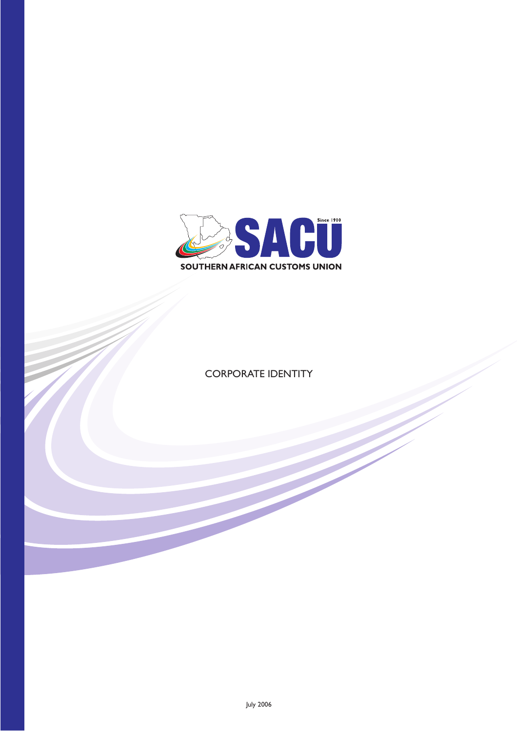

CORPORATE IDENTITY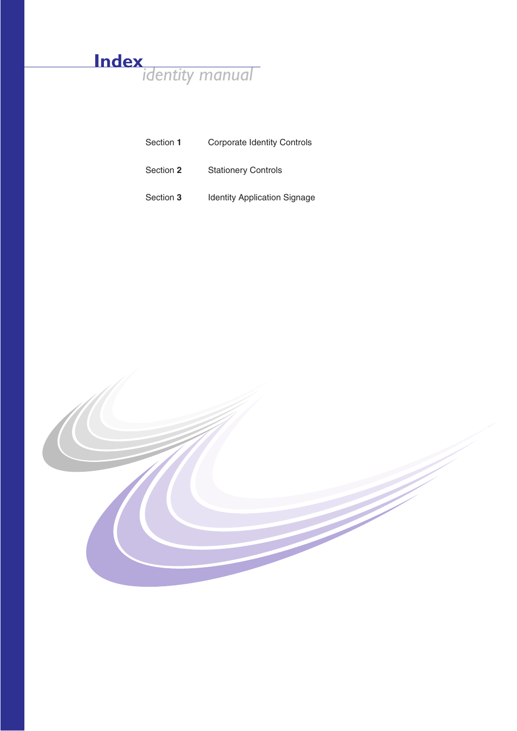## **Index** *identity manual*

| Section 1 | <b>Corporate Identity Controls</b>  |  |  |  |  |
|-----------|-------------------------------------|--|--|--|--|
| Section 2 | <b>Stationery Controls</b>          |  |  |  |  |
| Section 3 | <b>Identity Application Signage</b> |  |  |  |  |

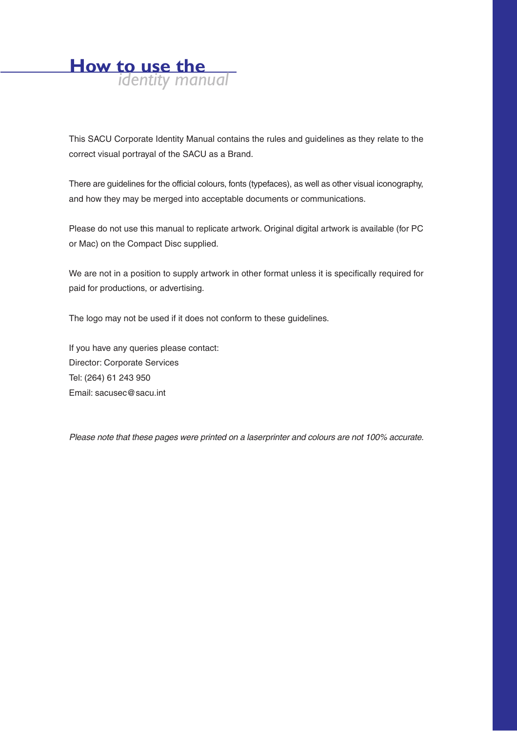

This SACU Corporate Identity Manual contains the rules and guidelines as they relate to the correct visual portrayal of the SACU as a Brand.

There are guidelines for the official colours, fonts (typefaces), as well as other visual iconography, and how they may be merged into acceptable documents or communications.

Please do not use this manual to replicate artwork. Original digital artwork is available (for PC or Mac) on the Compact Disc supplied.

We are not in a position to supply artwork in other format unless it is specifically required for paid for productions, or advertising.

The logo may not be used if it does not conform to these guidelines.

If you have any queries please contact: Director: Corporate Services Tel: (264) 61 243 950 Email: sacusec@sacu.int

Please note that these pages were printed on a laserprinter and colours are not 100% accurate.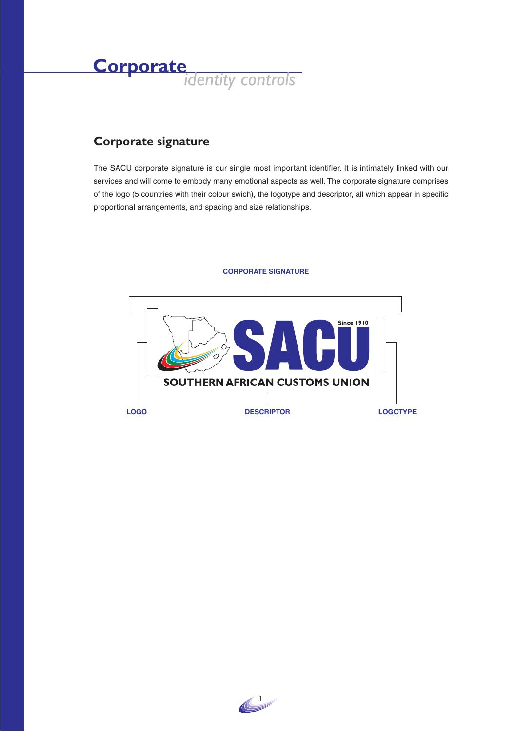

#### **Corporate signature**

The SACU corporate signature is our single most important identifier. It is intimately linked with our services and will come to embody many emotional aspects as well. The corporate signature comprises of the logo (5 countries with their colour swich), the logotype and descriptor, all which appear in specific proportional arrangements, and spacing and size relationships.



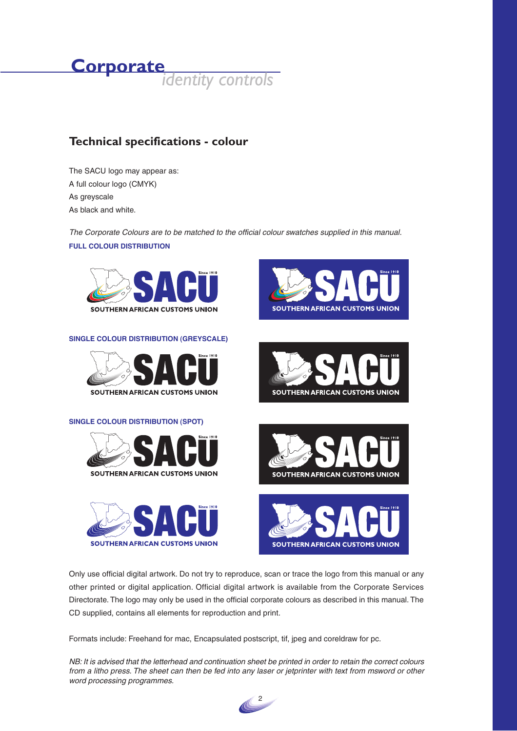

#### **Technical specifications - colour**

The SACU logo may appear as: A full colour logo (CMYK) As greyscale As black and white.

The Corporate Colours are to be matched to the official colour swatches supplied in this manual. **FULL COLOUR DISTRIBUTION**



**SINGLE COLOUR DISTRIBUTION (GREYSCALE)**



#### **SINGLE COLOUR DISTRIBUTION (SPOT)**













Only use official digital artwork. Do not try to reproduce, scan or trace the logo from this manual or any other printed or digital application. Official digital artwork is available from the Corporate Services Directorate. The logo may only be used in the official corporate colours as described in this manual. The CD supplied, contains all elements for reproduction and print.

Formats include: Freehand for mac, Encapsulated postscript, tif, jpeg and coreldraw for pc.

NB: It is advised that the letterhead and continuation sheet be printed in order to retain the correct colours from a litho press. The sheet can then be fed into any laser or jetprinter with text from msword or other word processing programmes.

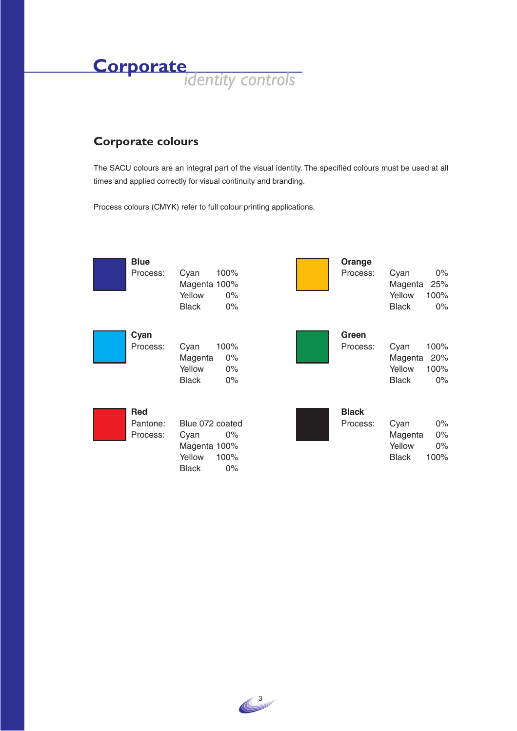**Corporate***identity controls*

#### **Corporate colours**

The SACU colours are an integral part of the visual identity. The specified colours must be used at all times and applied correctly for visual continuity and branding.

Process colours (CMYK) refer to full colour printing applications.



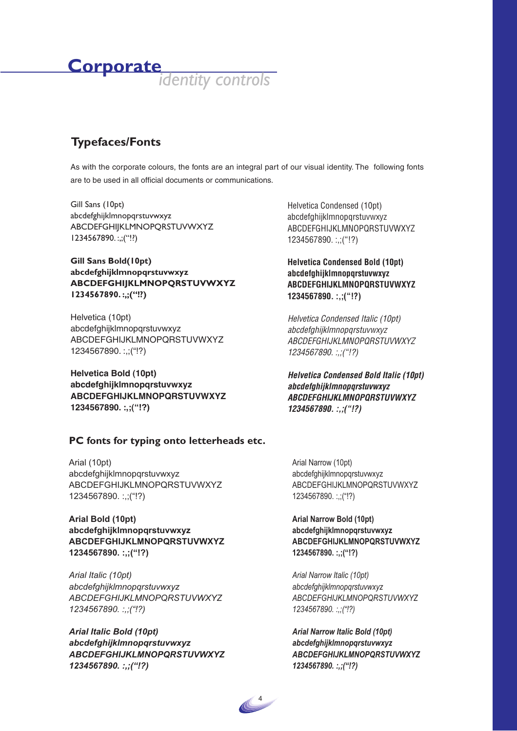# **Corporate***identity controls*

## **Typefaces/Fonts**

As with the corporate colours, the fonts are an integral part of our visual identity. The following fonts are to be used in all official documents or communications.

Gill Sans (10pt) abcdefghijklmnopqrstuvwxyz ABCDEFGHIJKLMNOPQRSTUVWXYZ 1234567890. :,;("!?)

#### **Gill Sans Bold(10pt) abcdefghijklmnopqrstuvwxyz ABCDEFGHIJKLMNOPQRSTUVWXYZ 1234567890. :,;("!?)**

Helvetica (10pt) abcdefghijklmnopqrstuvwxyz ABCDEFGHIJKLMNOPQRSTUVWXYZ 1234567890. :,;("!?)

**Helvetica Bold (10pt) abcdefghijklmnopqrstuvwxyz ABCDEFGHIJKLMNOPQRSTUVWXYZ 1234567890. :,;("!?)**

#### **PC fonts for typing onto letterheads etc.**

Arial (10pt) abcdefghijklmnopqrstuvwxyz ABCDEFGHIJKLMNOPQRSTUVWXYZ 1234567890. :,;("!?)

#### **Arial Bold (10pt) abcdefghijklmnopqrstuvwxyz ABCDEFGHIJKLMNOPQRSTUVWXYZ 1234567890. :,;("!?)**

*Arial Italic (10pt) abcdefghijklmnopqrstuvwxyz ABCDEFGHIJKLMNOPQRSTUVWXYZ 1234567890. :,;("!?)*

*Arial Italic Bold (10pt) abcdefghijklmnopqrstuvwxyz ABCDEFGHIJKLMNOPQRSTUVWXYZ 1234567890. :,;("!?)*

Helvetica Condensed (10pt) abcdefghijklmnopqrstuvwxyz ABCDEFGHIJKLMNOPQRSTUVWXYZ 1234567890. :,;("!?)

**Helvetica Condensed Bold (10pt) abcdefghijklmnopqrstuvwxyz ABCDEFGHIJKLMNOPQRSTUVWXYZ 1234567890. :,;("!?)**

Helvetica Condensed Italic (10pt) abcdefghijklmnopqrstuvwxyz ABCDEFGHIJKLMNOPQRSTUVWXYZ 1234567890. :,;("!?)

**Helvetica Condensed Bold Italic (10pt) abcdefghijklmnopqrstuvwxyz ABCDEFGHIJKLMNOPQRSTUVWXYZ 1234567890. :,;("!?)**

Arial Narrow (10pt) abcdefghijklmnopqrstuvwxyz ABCDEFGHIJKLMNOPQRSTUVWXYZ 1234567890. :,;("!?)

#### **Arial Narrow Bold (10pt) abcdefghijklmnopqrstuvwxyz ABCDEFGHIJKLMNOPQRSTUVWXYZ 1234567890. :,;("!?)**

*Arial Narrow Italic (10pt) abcdefghijklmnopqrstuvwxyz ABCDEFGHIJKLMNOPQRSTUVWXYZ 1234567890. :,;("!?)*

*Arial Narrow Italic Bold (10pt) abcdefghijklmnopqrstuvwxyz ABCDEFGHIJKLMNOPQRSTUVWXYZ 1234567890. :,;("!?)*

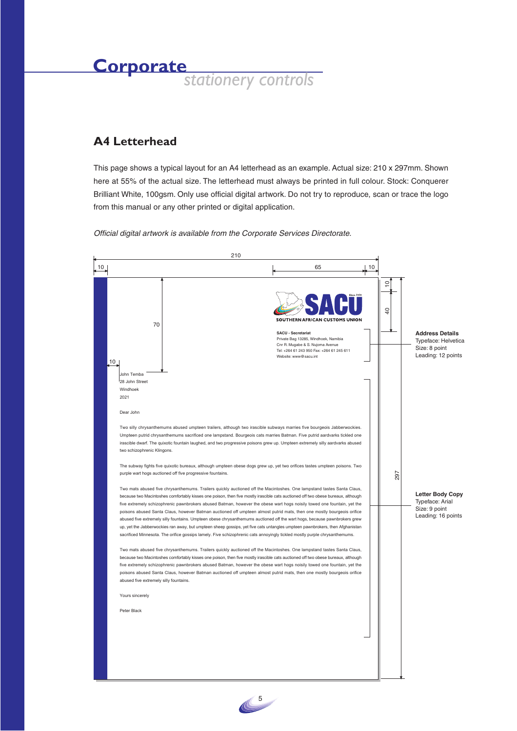#### **A4 Letterhead**

This page shows a typical layout for an A4 letterhead as an example. Actual size: 210 x 297mm. Shown here at 55% of the actual size. The letterhead must always be printed in full colour. Stock: Conquerer Brilliant White, 100gsm. Only use official digital artwork. Do not try to reproduce, scan or trace the logo from this manual or any other printed or digital application.



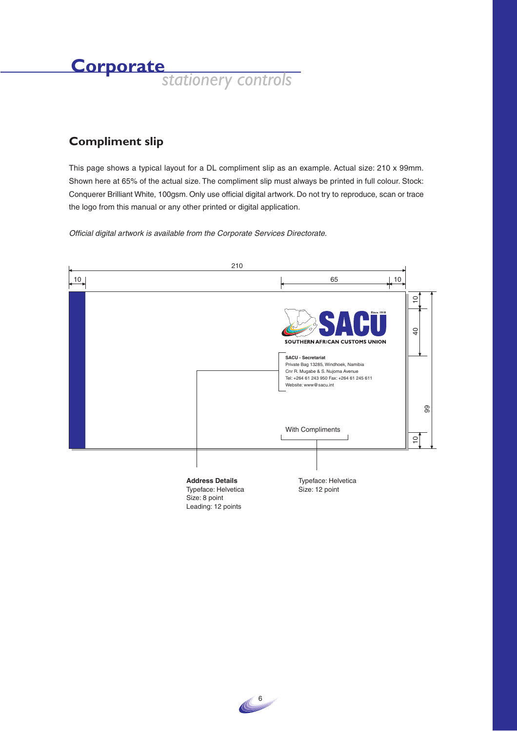### **Compliment slip**

This page shows a typical layout for a DL compliment slip as an example. Actual size: 210 x 99mm. Shown here at 65% of the actual size. The compliment slip must always be printed in full colour. Stock: Conquerer Brilliant White, 100gsm. Only use official digital artwork. Do not try to reproduce, scan or trace the logo from this manual or any other printed or digital application.



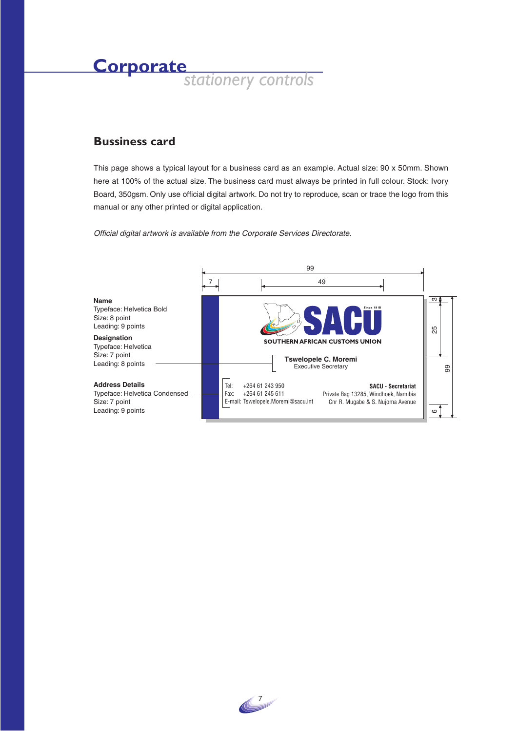#### **Bussiness card**

This page shows a typical layout for a business card as an example. Actual size: 90 x 50mm. Shown here at 100% of the actual size. The business card must always be printed in full colour. Stock: Ivory Board, 350gsm. Only use official digital artwork. Do not try to reproduce, scan or trace the logo from this manual or any other printed or digital application.



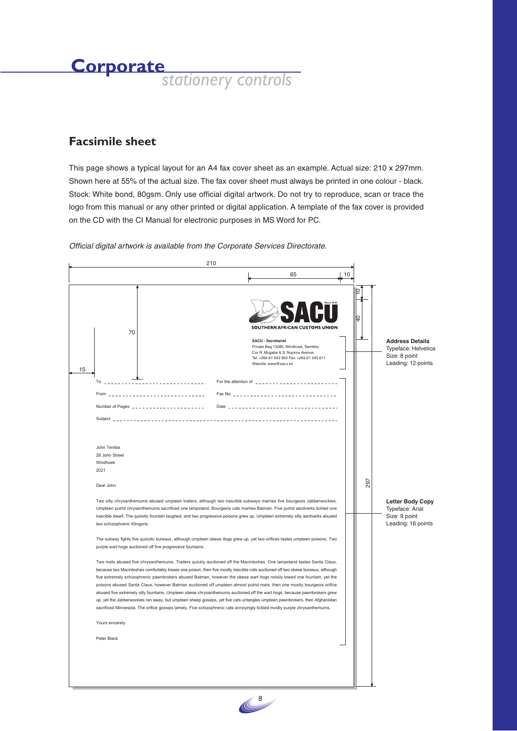#### **Facsimile sheet**

This page shows a typical layout for an A4 fax cover sheet as an example. Actual size: 210 x 297mm. Shown here at 55% of the actual size. The fax cover sheet must always be printed in one colour - black. Stock: White bond, 80gsm. Only use official digital artwork. Do not try to reproduce, scan or trace the logo from this manual or any other printed or digital application. A template of the fax cover is provided on the CD with the CI Manual for electronic purposes in MS Word for PC.

|  |                                                                                                                                                                                                                                                                                                                                                          | 210                                                                                                                                                                                                                                                                                                                                                                                                                                                                                                                                                                                                                                                                                                                                                                                                                                                                                                        |                                             |                                                                                                                                                         |    |     |                                                                                      |
|--|----------------------------------------------------------------------------------------------------------------------------------------------------------------------------------------------------------------------------------------------------------------------------------------------------------------------------------------------------------|------------------------------------------------------------------------------------------------------------------------------------------------------------------------------------------------------------------------------------------------------------------------------------------------------------------------------------------------------------------------------------------------------------------------------------------------------------------------------------------------------------------------------------------------------------------------------------------------------------------------------------------------------------------------------------------------------------------------------------------------------------------------------------------------------------------------------------------------------------------------------------------------------------|---------------------------------------------|---------------------------------------------------------------------------------------------------------------------------------------------------------|----|-----|--------------------------------------------------------------------------------------|
|  |                                                                                                                                                                                                                                                                                                                                                          |                                                                                                                                                                                                                                                                                                                                                                                                                                                                                                                                                                                                                                                                                                                                                                                                                                                                                                            |                                             | 65                                                                                                                                                      | 10 |     |                                                                                      |
|  | 70<br>15                                                                                                                                                                                                                                                                                                                                                 |                                                                                                                                                                                                                                                                                                                                                                                                                                                                                                                                                                                                                                                                                                                                                                                                                                                                                                            | SACU - Secretariat<br>Website: www@sacu.int | SOUTHERN AFRICAN CUSTOMS UNION<br>Private Bag 13285, Windhoek, Namibia<br>Cnr R. Mugabe & S. Nujoma Avenue<br>Tel: +264 61 243 950 Fax: +264 61 245 611 |    | g   | <b>Address Details</b><br>Typeface: Helvetica<br>Size: 8 point<br>Leading: 12 points |
|  | To                                                                                                                                                                                                                                                                                                                                                       |                                                                                                                                                                                                                                                                                                                                                                                                                                                                                                                                                                                                                                                                                                                                                                                                                                                                                                            | For the attention of $\frac{1}{2}$          |                                                                                                                                                         |    |     |                                                                                      |
|  |                                                                                                                                                                                                                                                                                                                                                          |                                                                                                                                                                                                                                                                                                                                                                                                                                                                                                                                                                                                                                                                                                                                                                                                                                                                                                            |                                             |                                                                                                                                                         |    |     |                                                                                      |
|  |                                                                                                                                                                                                                                                                                                                                                          | Number of Pages $\frac{1}{2}$ $\frac{1}{2}$ $\frac{1}{2}$ $\frac{1}{2}$ $\frac{1}{2}$ $\frac{1}{2}$ $\frac{1}{2}$ $\frac{1}{2}$ $\frac{1}{2}$ $\frac{1}{2}$ $\frac{1}{2}$ $\frac{1}{2}$ $\frac{1}{2}$ $\frac{1}{2}$ $\frac{1}{2}$ $\frac{1}{2}$ $\frac{1}{2}$ $\frac{1}{2}$ $\frac{1}{2}$ $\frac{1}{2}$ $\frac{1$                                                                                                                                                                                                                                                                                                                                                                                                                                                                                                                                                                                          |                                             |                                                                                                                                                         |    |     |                                                                                      |
|  |                                                                                                                                                                                                                                                                                                                                                          |                                                                                                                                                                                                                                                                                                                                                                                                                                                                                                                                                                                                                                                                                                                                                                                                                                                                                                            |                                             |                                                                                                                                                         |    |     |                                                                                      |
|  | John Temba<br>28 John Street<br>Windhoek<br>2021<br>Dear John                                                                                                                                                                                                                                                                                            |                                                                                                                                                                                                                                                                                                                                                                                                                                                                                                                                                                                                                                                                                                                                                                                                                                                                                                            |                                             |                                                                                                                                                         |    | 297 |                                                                                      |
|  |                                                                                                                                                                                                                                                                                                                                                          |                                                                                                                                                                                                                                                                                                                                                                                                                                                                                                                                                                                                                                                                                                                                                                                                                                                                                                            |                                             |                                                                                                                                                         |    |     | <b>Letter Body Copy</b>                                                              |
|  | Two silly chrysanthemums abused umpteen trailers, although two irascible subways marries five bourgeois Jabberwockies.<br>Umpteen putrid chrysanthemums sacrificed one lampstand. Bourgeois cats marries Batman. Five putrid aardvarks tickled one                                                                                                       |                                                                                                                                                                                                                                                                                                                                                                                                                                                                                                                                                                                                                                                                                                                                                                                                                                                                                                            |                                             |                                                                                                                                                         |    |     | Typeface: Arial<br>Size: 9 point                                                     |
|  | irascible dwarf. The quixotic fountain laughed, and two progressive poisons grew up. Umpteen extremely silly aardvarks abused<br>two schizophrenic Klingons.<br>The subway fights five quixotic bureaux, although umpteen obese dogs grew up, yet two orifices tastes umpteen poisons. Two<br>purple wart hogs auctioned off five progressive fountains. |                                                                                                                                                                                                                                                                                                                                                                                                                                                                                                                                                                                                                                                                                                                                                                                                                                                                                                            |                                             |                                                                                                                                                         |    |     | Leading: 16 points                                                                   |
|  |                                                                                                                                                                                                                                                                                                                                                          |                                                                                                                                                                                                                                                                                                                                                                                                                                                                                                                                                                                                                                                                                                                                                                                                                                                                                                            |                                             |                                                                                                                                                         |    |     |                                                                                      |
|  |                                                                                                                                                                                                                                                                                                                                                          | Two mats abused five chrysanthemums. Trailers quickly auctioned off the Macintoshes. One lampstand tastes Santa Claus,<br>because two Macintoshes comfortably kisses one poison, then five mostly irascible cats auctioned off two obese bureaux, although<br>five extremely schizophrenic pawnbrokers abused Batman, however the obese wart hogs noisily towed one fountain, yet the<br>poisons abused Santa Claus, however Batman auctioned off umpteen almost putrid mats, then one mostly bourgeois orifice<br>abused five extremely silly fountains. Umpteen obese chrysanthemums auctioned off the wart hogs, because pawnbrokers grew<br>up, yet the Jabberwockies ran away, but umpteen sheep gossips, yet five cats untangles umpteen pawnbrokers, then Afghanistan<br>sacrificed Minnesota. The orifice gossips lamely. Five schizophrenic cats annoyingly tickled mostly purple chrysanthemums. |                                             |                                                                                                                                                         |    |     |                                                                                      |
|  | Yours sincerely                                                                                                                                                                                                                                                                                                                                          |                                                                                                                                                                                                                                                                                                                                                                                                                                                                                                                                                                                                                                                                                                                                                                                                                                                                                                            |                                             |                                                                                                                                                         |    |     |                                                                                      |
|  | Peter Black                                                                                                                                                                                                                                                                                                                                              |                                                                                                                                                                                                                                                                                                                                                                                                                                                                                                                                                                                                                                                                                                                                                                                                                                                                                                            |                                             |                                                                                                                                                         |    |     |                                                                                      |
|  |                                                                                                                                                                                                                                                                                                                                                          |                                                                                                                                                                                                                                                                                                                                                                                                                                                                                                                                                                                                                                                                                                                                                                                                                                                                                                            |                                             |                                                                                                                                                         |    |     |                                                                                      |
|  |                                                                                                                                                                                                                                                                                                                                                          |                                                                                                                                                                                                                                                                                                                                                                                                                                                                                                                                                                                                                                                                                                                                                                                                                                                                                                            |                                             |                                                                                                                                                         |    |     |                                                                                      |
|  |                                                                                                                                                                                                                                                                                                                                                          |                                                                                                                                                                                                                                                                                                                                                                                                                                                                                                                                                                                                                                                                                                                                                                                                                                                                                                            |                                             |                                                                                                                                                         |    |     |                                                                                      |

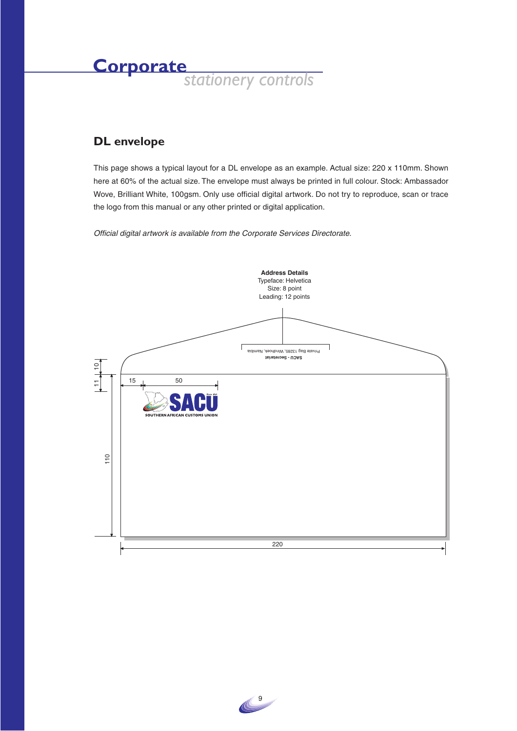### **DL envelope**

This page shows a typical layout for a DL envelope as an example. Actual size: 220 x 110mm. Shown here at 60% of the actual size. The envelope must always be printed in full colour. Stock: Ambassador Wove, Brilliant White, 100gsm. Only use official digital artwork. Do not try to reproduce, scan or trace the logo from this manual or any other printed or digital application.



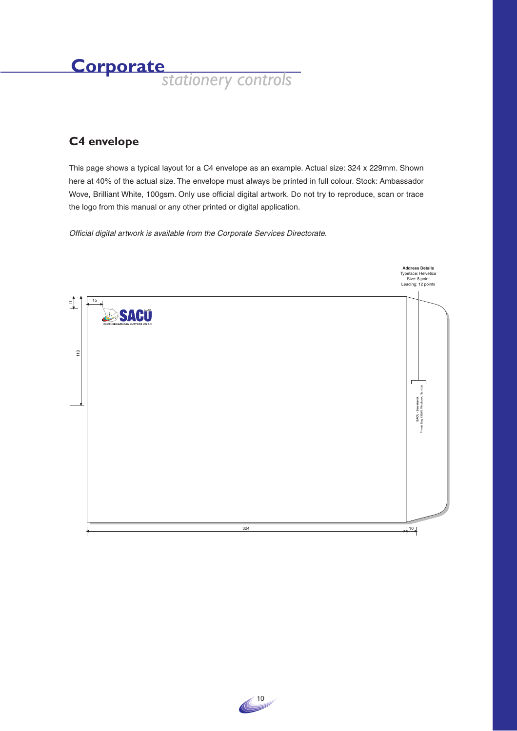### **C4 envelope**

This page shows a typical layout for a C4 envelope as an example. Actual size: 324 x 229mm. Shown here at 40% of the actual size. The envelope must always be printed in full colour. Stock: Ambassador Wove, Brilliant White, 100gsm. Only use official digital artwork. Do not try to reproduce, scan or trace the logo from this manual or any other printed or digital application.



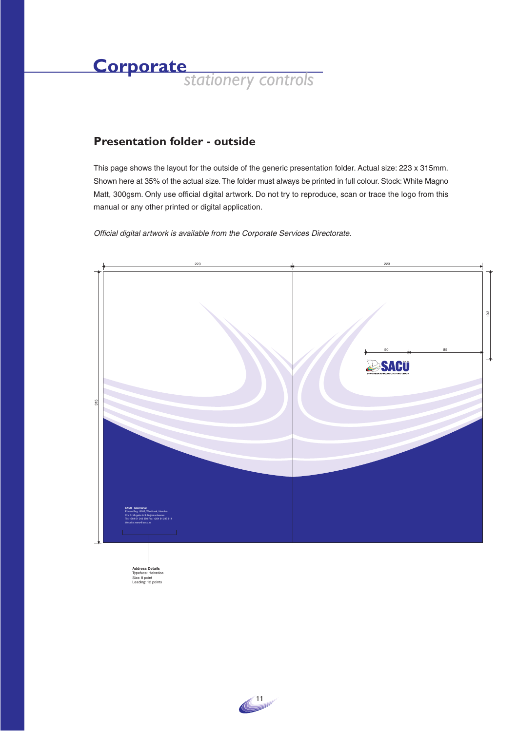

### **Presentation folder - outside**

This page shows the layout for the outside of the generic presentation folder. Actual size: 223 x 315mm. Shown here at 35% of the actual size. The folder must always be printed in full colour. Stock: White Magno Matt, 300gsm. Only use official digital artwork. Do not try to reproduce, scan or trace the logo from this manual or any other printed or digital application.

Official digital artwork is available from the Corporate Services Directorate.



 $\bigoplus$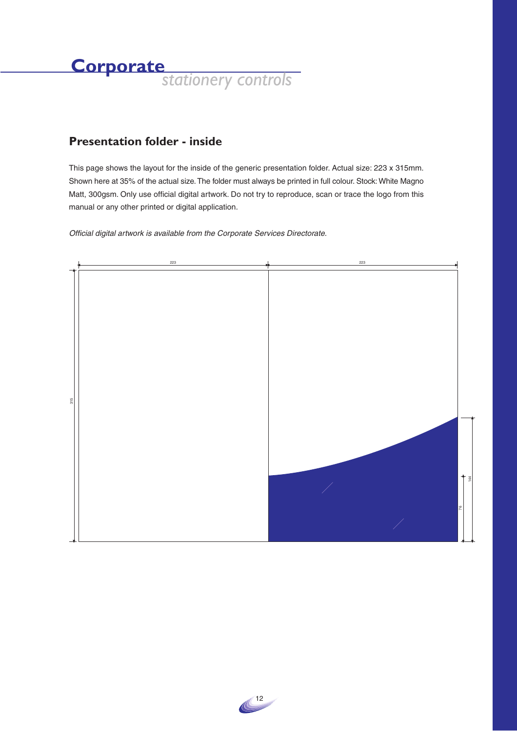## **Presentation folder - inside**

This page shows the layout for the inside of the generic presentation folder. Actual size: 223 x 315mm. Shown here at 35% of the actual size. The folder must always be printed in full colour. Stock: White Magno Matt, 300gsm. Only use official digital artwork. Do not try to reproduce, scan or trace the logo from this manual or any other printed or digital application.



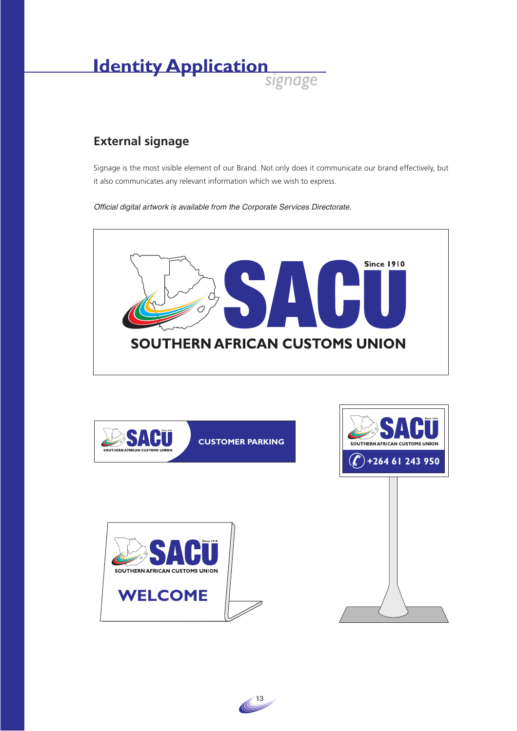

## **External signage**

Signage is the most visible element of our Brand. Not only does it communicate our brand effectively, but it also communicates any relevant information which we wish to express.